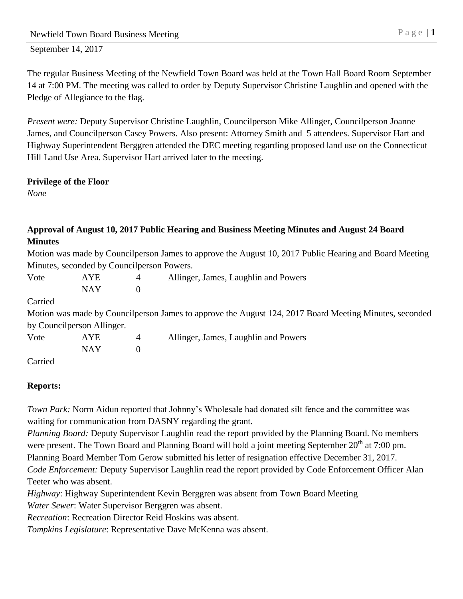September 14, 2017

The regular Business Meeting of the Newfield Town Board was held at the Town Hall Board Room September 14 at 7:00 PM. The meeting was called to order by Deputy Supervisor Christine Laughlin and opened with the Pledge of Allegiance to the flag.

*Present were:* Deputy Supervisor Christine Laughlin, Councilperson Mike Allinger, Councilperson Joanne James, and Councilperson Casey Powers. Also present: Attorney Smith and 5 attendees. Supervisor Hart and Highway Superintendent Berggren attended the DEC meeting regarding proposed land use on the Connecticut Hill Land Use Area. Supervisor Hart arrived later to the meeting.

## **Privilege of the Floor**

*None*

## **Approval of August 10, 2017 Public Hearing and Business Meeting Minutes and August 24 Board Minutes**

Motion was made by Councilperson James to approve the August 10, 2017 Public Hearing and Board Meeting Minutes, seconded by Councilperson Powers.

| Vote    | AYE                        | 4              | Allinger, James, Laughlin and Powers                                                                   |
|---------|----------------------------|----------------|--------------------------------------------------------------------------------------------------------|
|         | <b>NAY</b>                 | $\theta$       |                                                                                                        |
| Carried |                            |                |                                                                                                        |
|         |                            |                | Motion was made by Councilperson James to approve the August 124, 2017 Board Meeting Minutes, seconded |
|         | by Councilperson Allinger. |                |                                                                                                        |
| Vote    | AYE                        | $\overline{4}$ | Allinger, James, Laughlin and Powers                                                                   |
|         | NAY                        | $\theta$       |                                                                                                        |
| Carried |                            |                |                                                                                                        |

# **Reports:**

*Town Park:* Norm Aidun reported that Johnny's Wholesale had donated silt fence and the committee was waiting for communication from DASNY regarding the grant.

*Planning Board:* Deputy Supervisor Laughlin read the report provided by the Planning Board. No members were present. The Town Board and Planning Board will hold a joint meeting September  $20<sup>th</sup>$  at 7:00 pm. Planning Board Member Tom Gerow submitted his letter of resignation effective December 31, 2017.

*Code Enforcement:* Deputy Supervisor Laughlin read the report provided by Code Enforcement Officer Alan Teeter who was absent.

*Highway*: Highway Superintendent Kevin Berggren was absent from Town Board Meeting

*Water Sewer*: Water Supervisor Berggren was absent.

*Recreation*: Recreation Director Reid Hoskins was absent.

*Tompkins Legislature*: Representative Dave McKenna was absent.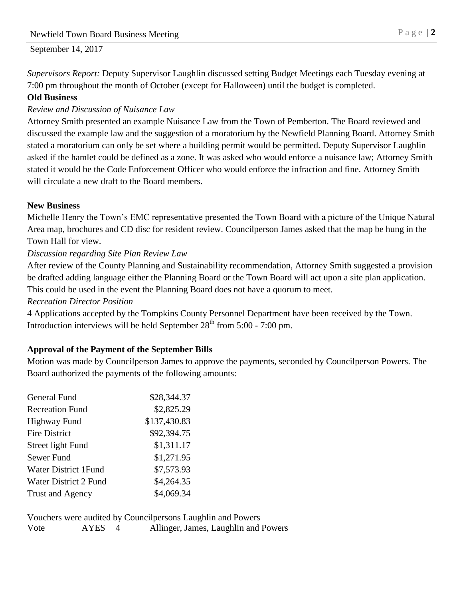#### September 14, 2017

*Supervisors Report:* Deputy Supervisor Laughlin discussed setting Budget Meetings each Tuesday evening at 7:00 pm throughout the month of October (except for Halloween) until the budget is completed.

#### **Old Business**

#### *Review and Discussion of Nuisance Law*

Attorney Smith presented an example Nuisance Law from the Town of Pemberton. The Board reviewed and discussed the example law and the suggestion of a moratorium by the Newfield Planning Board. Attorney Smith stated a moratorium can only be set where a building permit would be permitted. Deputy Supervisor Laughlin asked if the hamlet could be defined as a zone. It was asked who would enforce a nuisance law; Attorney Smith stated it would be the Code Enforcement Officer who would enforce the infraction and fine. Attorney Smith will circulate a new draft to the Board members.

#### **New Business**

Michelle Henry the Town's EMC representative presented the Town Board with a picture of the Unique Natural Area map, brochures and CD disc for resident review. Councilperson James asked that the map be hung in the Town Hall for view.

### *Discussion regarding Site Plan Review Law*

After review of the County Planning and Sustainability recommendation, Attorney Smith suggested a provision be drafted adding language either the Planning Board or the Town Board will act upon a site plan application. This could be used in the event the Planning Board does not have a quorum to meet.

#### *Recreation Director Position*

4 Applications accepted by the Tompkins County Personnel Department have been received by the Town. Introduction interviews will be held September  $28<sup>th</sup>$  from 5:00 - 7:00 pm.

## **Approval of the Payment of the September Bills**

Motion was made by Councilperson James to approve the payments, seconded by Councilperson Powers. The Board authorized the payments of the following amounts:

| General Fund            | \$28,344.37  |
|-------------------------|--------------|
| <b>Recreation Fund</b>  | \$2,825.29   |
| <b>Highway Fund</b>     | \$137,430.83 |
| <b>Fire District</b>    | \$92,394.75  |
| Street light Fund       | \$1,311.17   |
| Sewer Fund              | \$1,271.95   |
| Water District 1 Fund   | \$7,573.93   |
| Water District 2 Fund   | \$4,264.35   |
| <b>Trust and Agency</b> | \$4,069.34   |

Vouchers were audited by Councilpersons Laughlin and Powers Vote AYES 4 Allinger, James, Laughlin and Powers